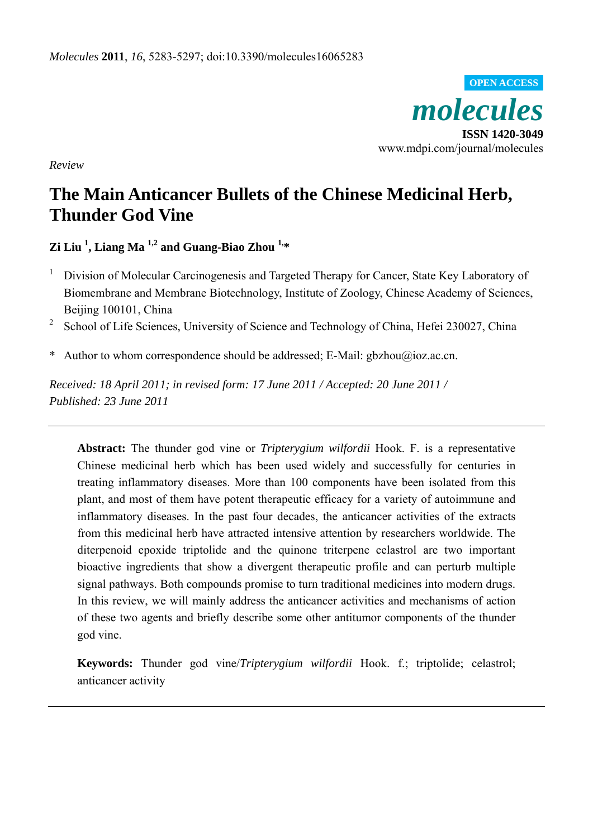*molecules*  **ISSN 1420-3049**  www.mdpi.com/journal/molecules **OPEN ACCESS**

*Review* 

# **The Main Anticancer Bullets of the Chinese Medicinal Herb, Thunder God Vine**

**Zi Liu 1 , Liang Ma 1,2 and Guang-Biao Zhou 1,\***

- 1 Division of Molecular Carcinogenesis and Targeted Therapy for Cancer, State Key Laboratory of Biomembrane and Membrane Biotechnology, Institute of Zoology, Chinese Academy of Sciences, Beijing 100101, China
- <sup>2</sup> School of Life Sciences, University of Science and Technology of China, Hefei 230027, China
- \* Author to whom correspondence should be addressed; E-Mail: gbzhou@ioz.ac.cn.

*Received: 18 April 2011; in revised form: 17 June 2011 / Accepted: 20 June 2011 / Published: 23 June 2011* 

**Abstract:** The thunder god vine or *Tripterygium wilfordii* Hook. F. is a representative Chinese medicinal herb which has been used widely and successfully for centuries in treating inflammatory diseases. More than 100 components have been isolated from this plant, and most of them have potent therapeutic efficacy for a variety of autoimmune and inflammatory diseases. In the past four decades, the anticancer activities of the extracts from this medicinal herb have attracted intensive attention by researchers worldwide. The diterpenoid epoxide triptolide and the quinone triterpene celastrol are two important bioactive ingredients that show a divergent therapeutic profile and can perturb multiple signal pathways. Both compounds promise to turn traditional medicines into modern drugs. In this review, we will mainly address the anticancer activities and mechanisms of action of these two agents and briefly describe some other antitumor components of the thunder god vine.

**Keywords:** Thunder god vine/*Tripterygium wilfordii* Hook. f.; triptolide; celastrol; anticancer activity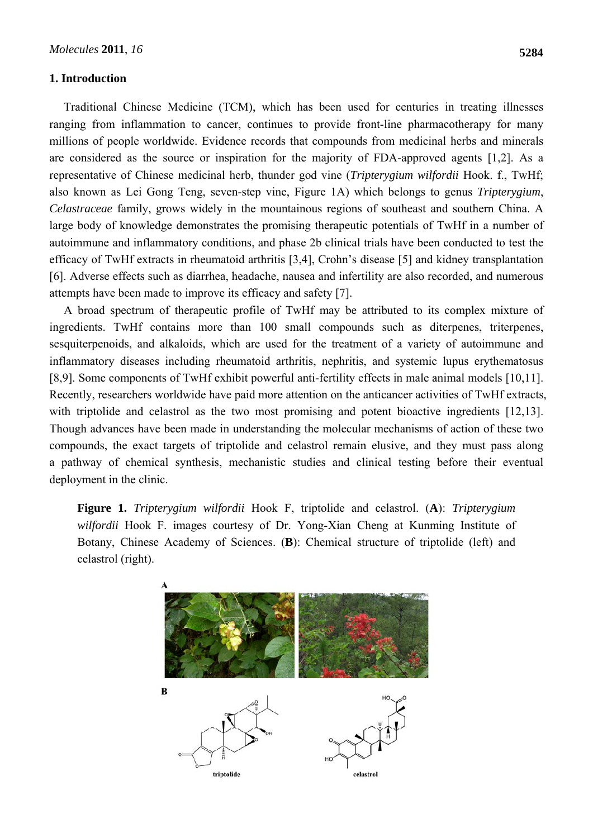## **1. Introduction**

Traditional Chinese Medicine (TCM), which has been used for centuries in treating illnesses ranging from inflammation to cancer, continues to provide front-line pharmacotherapy for many millions of people worldwide. Evidence records that compounds from medicinal herbs and minerals are considered as the source or inspiration for the majority of FDA-approved agents [1,2]. As a representative of Chinese medicinal herb, thunder god vine (*Tripterygium wilfordii* Hook. f., TwHf; also known as Lei Gong Teng, seven-step vine, Figure 1A) which belongs to genus *Tripterygium*, *Celastraceae* family, grows widely in the mountainous regions of southeast and southern China. A large body of knowledge demonstrates the promising therapeutic potentials of TwHf in a number of autoimmune and inflammatory conditions, and phase 2b clinical trials have been conducted to test the efficacy of TwHf extracts in rheumatoid arthritis [3,4], Crohn's disease [5] and kidney transplantation [6]. Adverse effects such as diarrhea, headache, nausea and infertility are also recorded, and numerous attempts have been made to improve its efficacy and safety [7].

A broad spectrum of therapeutic profile of TwHf may be attributed to its complex mixture of ingredients. TwHf contains more than 100 small compounds such as diterpenes, triterpenes, sesquiterpenoids, and alkaloids, which are used for the treatment of a variety of autoimmune and inflammatory diseases including rheumatoid arthritis, nephritis, and systemic lupus erythematosus [8,9]. Some components of TwHf exhibit powerful anti-fertility effects in male animal models [10,11]. Recently, researchers worldwide have paid more attention on the anticancer activities of TwHf extracts, with triptolide and celastrol as the two most promising and potent bioactive ingredients [12,13]. Though advances have been made in understanding the molecular mechanisms of action of these two compounds, the exact targets of triptolide and celastrol remain elusive, and they must pass along a pathway of chemical synthesis, mechanistic studies and clinical testing before their eventual deployment in the clinic.

**Figure 1.** *Tripterygium wilfordii* Hook F, triptolide and celastrol. (**A**): *Tripterygium wilfordii* Hook F. images courtesy of Dr. Yong-Xian Cheng at Kunming Institute of Botany, Chinese Academy of Sciences. (**B**): Chemical structure of triptolide (left) and celastrol (right).

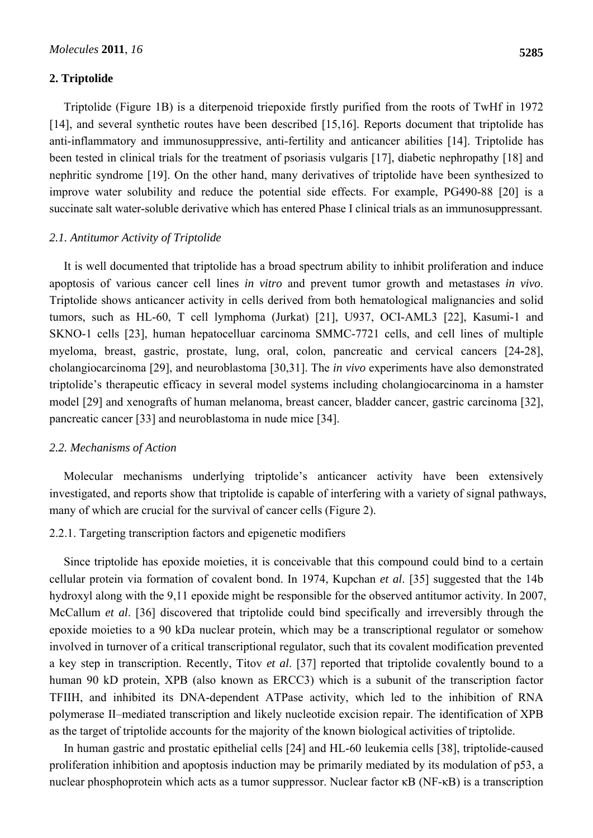# **2. Triptolide**

Triptolide (Figure 1B) is a diterpenoid triepoxide firstly purified from the roots of TwHf in 1972 [14], and several synthetic routes have been described [15,16]. Reports document that triptolide has anti-inflammatory and immunosuppressive, anti-fertility and anticancer abilities [14]. Triptolide has been tested in clinical trials for the treatment of psoriasis vulgaris [17], diabetic nephropathy [18] and nephritic syndrome [19]. On the other hand, many derivatives of triptolide have been synthesized to improve water solubility and reduce the potential side effects. For example, PG490-88 [20] is a succinate salt water-soluble derivative which has entered Phase I clinical trials as an immunosuppressant.

# *2.1. Antitumor Activity of Triptolide*

It is well documented that triptolide has a broad spectrum ability to inhibit proliferation and induce apoptosis of various cancer cell lines *in vitro* and prevent tumor growth and metastases *in vivo*. Triptolide shows anticancer activity in cells derived from both hematological malignancies and solid tumors, such as HL-60, T cell lymphoma (Jurkat) [21], U937, OCI-AML3 [22], Kasumi-1 and SKNO-1 cells [23], human hepatocelluar carcinoma SMMC-7721 cells, and cell lines of multiple myeloma, breast, gastric, prostate, lung, oral, colon, pancreatic and cervical cancers [24**-**28], cholangiocarcinoma [29], and neuroblastoma [30,31]. The *in vivo* experiments have also demonstrated triptolide's therapeutic efficacy in several model systems including cholangiocarcinoma in a hamster model [29] and xenografts of human melanoma, breast cancer, bladder cancer, gastric carcinoma [32], pancreatic cancer [33] and neuroblastoma in nude mice [34].

## *2.2. Mechanisms of Action*

Molecular mechanisms underlying triptolide's anticancer activity have been extensively investigated, and reports show that triptolide is capable of interfering with a variety of signal pathways, many of which are crucial for the survival of cancer cells (Figure 2).

## 2.2.1. Targeting transcription factors and epigenetic modifiers

Since triptolide has epoxide moieties, it is conceivable that this compound could bind to a certain cellular protein via formation of covalent bond. In 1974, Kupchan *et al*. [35] suggested that the 14b hydroxyl along with the 9,11 epoxide might be responsible for the observed antitumor activity. In 2007, McCallum *et al*. [36] discovered that triptolide could bind specifically and irreversibly through the epoxide moieties to a 90 kDa nuclear protein, which may be a transcriptional regulator or somehow involved in turnover of a critical transcriptional regulator, such that its covalent modification prevented a key step in transcription. Recently, Titov *et al*. [37] reported that triptolide covalently bound to a human 90 kD protein, XPB (also known as ERCC3) which is a subunit of the transcription factor TFIIH, and inhibited its DNA-dependent ATPase activity, which led to the inhibition of RNA polymerase II–mediated transcription and likely nucleotide excision repair. The identification of XPB as the target of triptolide accounts for the majority of the known biological activities of triptolide.

In human gastric and prostatic epithelial cells [24] and HL-60 leukemia cells [38], triptolide-caused proliferation inhibition and apoptosis induction may be primarily mediated by its modulation of p53, a nuclear phosphoprotein which acts as a tumor suppressor. Nuclear factor κB (NF-κB) is a transcription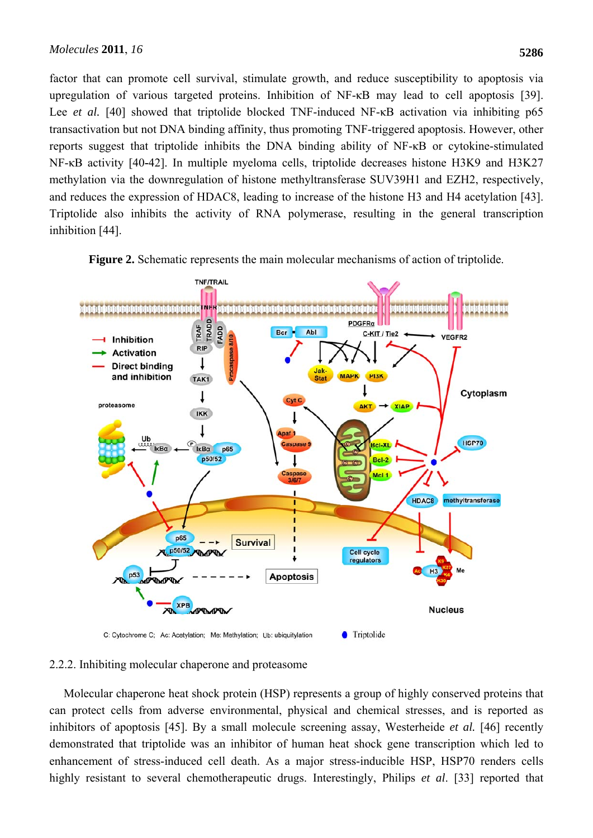factor that can promote cell survival, stimulate growth, and reduce susceptibility to apoptosis via upregulation of various targeted proteins. Inhibition of NF-κB may lead to cell apoptosis [39]. Lee *et al.* [40] showed that triptolide blocked TNF-induced NF-κB activation via inhibiting p65 transactivation but not DNA binding affinity, thus promoting TNF-triggered apoptosis. However, other reports suggest that triptolide inhibits the DNA binding ability of NF-κB or cytokine-stimulated NF-κB activity [40**-**42]. In multiple myeloma cells, triptolide decreases histone H3K9 and H3K27 methylation via the downregulation of histone methyltransferase SUV39H1 and EZH2, respectively, and reduces the expression of HDAC8, leading to increase of the histone H3 and H4 acetylation [43]. Triptolide also inhibits the activity of RNA polymerase, resulting in the general transcription inhibition [44].



**Figure 2.** Schematic represents the main molecular mechanisms of action of triptolide.

C: Cytochrome C; Ac: Acetylation; Me: Methylation; Ub: ubiquitylation

# 2.2.2. Inhibiting molecular chaperone and proteasome

Molecular chaperone heat shock protein (HSP) represents a group of highly conserved proteins that can protect cells from adverse environmental, physical and chemical stresses, and is reported as inhibitors of apoptosis [45]. By a small molecule screening assay, Westerheide *et al.* [46] recently demonstrated that triptolide was an inhibitor of human heat shock gene transcription which led to enhancement of stress-induced cell death. As a major stress-inducible HSP, HSP70 renders cells highly resistant to several chemotherapeutic drugs. Interestingly, Philips *et al*. [33] reported that

● Triptolide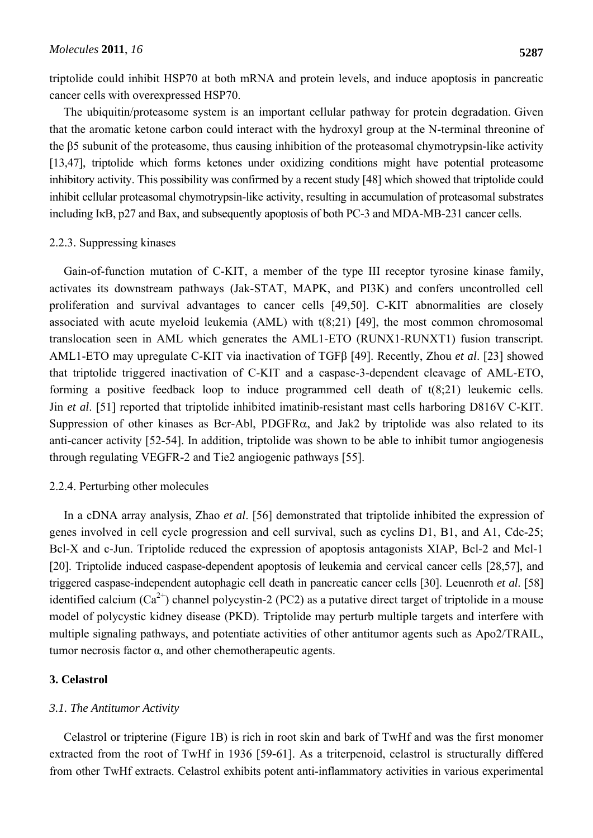triptolide could inhibit HSP70 at both mRNA and protein levels, and induce apoptosis in pancreatic cancer cells with overexpressed HSP70.

The ubiquitin/proteasome system is an important cellular pathway for protein degradation. Given that the aromatic ketone carbon could interact with the hydroxyl group at the N-terminal threonine of the β5 subunit of the proteasome, thus causing inhibition of the proteasomal chymotrypsin-like activity [13,47], triptolide which forms ketones under oxidizing conditions might have potential proteasome inhibitory activity. This possibility was confirmed by a recent study [48] which showed that triptolide could inhibit cellular proteasomal chymotrypsin-like activity, resulting in accumulation of proteasomal substrates including IκB, p27 and Bax, and subsequently apoptosis of both PC-3 and MDA-MB-231 cancer cells.

# 2.2.3. Suppressing kinases

Gain-of-function mutation of C-KIT, a member of the type III receptor tyrosine kinase family, activates its downstream pathways (Jak-STAT, MAPK, and PI3K) and confers uncontrolled cell proliferation and survival advantages to cancer cells [49,50]. C-KIT abnormalities are closely associated with acute myeloid leukemia (AML) with t(8;21) [49], the most common chromosomal translocation seen in AML which generates the AML1-ETO (RUNX1-RUNXT1) fusion transcript. AML1-ETO may upregulate C-KIT via inactivation of TGFβ [49]. Recently, Zhou *et al*. [23] showed that triptolide triggered inactivation of C-KIT and a caspase-3-dependent cleavage of AML-ETO, forming a positive feedback loop to induce programmed cell death of t(8;21) leukemic cells. Jin *et al*. [51] reported that triptolide inhibited imatinib-resistant mast cells harboring D816V C-KIT. Suppression of other kinases as Bcr-Abl, PDGFRα, and Jak2 by triptolide was also related to its anti-cancer activity [52**-**54]. In addition, triptolide was shown to be able to inhibit tumor angiogenesis through regulating VEGFR-2 and Tie2 angiogenic pathways [55].

# 2.2.4. Perturbing other molecules

In a cDNA array analysis, Zhao *et al*. [56] demonstrated that triptolide inhibited the expression of genes involved in cell cycle progression and cell survival, such as cyclins D1, B1, and A1, Cdc-25; Bcl-X and c-Jun. Triptolide reduced the expression of apoptosis antagonists XIAP, Bcl-2 and Mcl-1 [20]. Triptolide induced caspase-dependent apoptosis of leukemia and cervical cancer cells [28,57], and triggered caspase-independent autophagic cell death in pancreatic cancer cells [30]. Leuenroth *et al*. [58] identified calcium  $(Ca^{2+})$  channel polycystin-2 (PC2) as a putative direct target of triptolide in a mouse model of polycystic kidney disease (PKD). Triptolide may perturb multiple targets and interfere with multiple signaling pathways, and potentiate activities of other antitumor agents such as Apo2/TRAIL, tumor necrosis factor α, and other chemotherapeutic agents.

# **3. Celastrol**

#### *3.1. The Antitumor Activity*

Celastrol or tripterine (Figure 1B) is rich in root skin and bark of TwHf and was the first monomer extracted from the root of TwHf in 1936 [59**-**61]. As a triterpenoid, celastrol is structurally differed from other TwHf extracts. Celastrol exhibits potent anti-inflammatory activities in various experimental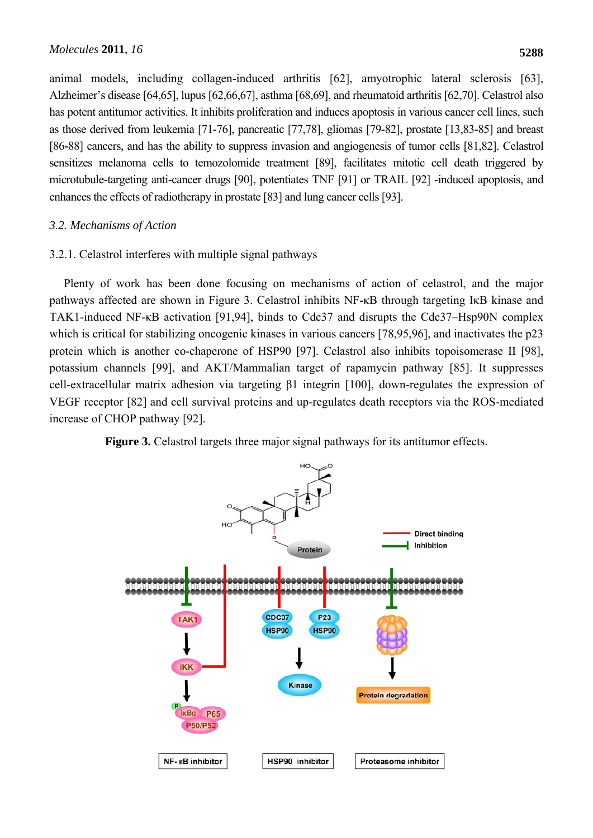animal models, including collagen-induced arthritis [62], amyotrophic lateral sclerosis [63], Alzheimer's disease [64,65], lupus [62,66,67], asthma [68,69], and rheumatoid arthritis [62,70]. Celastrol also has potent antitumor activities. It inhibits proliferation and induces apoptosis in various cancer cell lines, such as those derived from leukemia [71**-**76], pancreatic [77,78], gliomas [79**-**82], prostate [13,83**-**85] and breast [86**-**88] cancers, and has the ability to suppress invasion and angiogenesis of tumor cells [81,82]. Celastrol sensitizes melanoma cells to temozolomide treatment [89], facilitates mitotic cell death triggered by microtubule-targeting anti-cancer drugs [90], potentiates TNF [91] or TRAIL [92] -induced apoptosis, and enhances the effects of radiotherapy in prostate [83] and lung cancer cells [93].

# *3.2. Mechanisms of Action*

# 3.2.1. Celastrol interferes with multiple signal pathways

Plenty of work has been done focusing on mechanisms of action of celastrol, and the major pathways affected are shown in Figure 3. Celastrol inhibits NF-κB through targeting IκB kinase and TAK1-induced NF-κB activation [91,94], binds to Cdc37 and disrupts the Cdc37–Hsp90N complex which is critical for stabilizing oncogenic kinases in various cancers [78,95,96], and inactivates the p23 protein which is another co-chaperone of HSP90 [97]. Celastrol also inhibits topoisomerase II [98], potassium channels [99], and AKT/Mammalian target of rapamycin pathway [85]. It suppresses cell-extracellular matrix adhesion via targeting β1 integrin [100], down-regulates the expression of VEGF receptor [82] and cell survival proteins and up-regulates death receptors via the ROS-mediated increase of CHOP pathway [92].



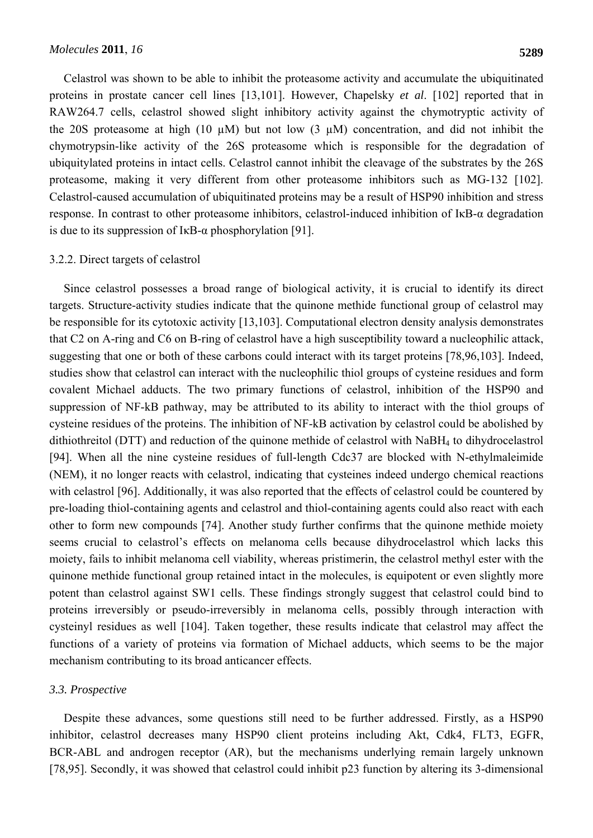Celastrol was shown to be able to inhibit the proteasome activity and accumulate the ubiquitinated proteins in prostate cancer cell lines [13,101]. However, Chapelsky *et al*. [102] reported that in RAW264.7 cells, celastrol showed slight inhibitory activity against the chymotryptic activity of the 20S proteasome at high (10  $\mu$ M) but not low (3  $\mu$ M) concentration, and did not inhibit the chymotrypsin-like activity of the 26S proteasome which is responsible for the degradation of ubiquitylated proteins in intact cells. Celastrol cannot inhibit the cleavage of the substrates by the 26S proteasome, making it very different from other proteasome inhibitors such as MG-132 [102]. Celastrol-caused accumulation of ubiquitinated proteins may be a result of HSP90 inhibition and stress response. In contrast to other proteasome inhibitors, celastrol-induced inhibition of IκB-α degradation is due to its suppression of  $I \kappa B$ - $\alpha$  phosphorylation [91].

#### 3.2.2. Direct targets of celastrol

Since celastrol possesses a broad range of biological activity, it is crucial to identify its direct targets. Structure-activity studies indicate that the quinone methide functional group of celastrol may be responsible for its cytotoxic activity [13,103]. Computational electron density analysis demonstrates that C2 on A-ring and C6 on B-ring of celastrol have a high susceptibility toward a nucleophilic attack, suggesting that one or both of these carbons could interact with its target proteins [78,96,103]. Indeed, studies show that celastrol can interact with the nucleophilic thiol groups of cysteine residues and form covalent Michael adducts. The two primary functions of celastrol, inhibition of the HSP90 and suppression of NF-kB pathway, may be attributed to its ability to interact with the thiol groups of cysteine residues of the proteins. The inhibition of NF-kB activation by celastrol could be abolished by dithiothreitol (DTT) and reduction of the quinone methide of celastrol with NaBH4 to dihydrocelastrol [94]. When all the nine cysteine residues of full-length Cdc37 are blocked with N-ethylmaleimide (NEM), it no longer reacts with celastrol, indicating that cysteines indeed undergo chemical reactions with celastrol [96]. Additionally, it was also reported that the effects of celastrol could be countered by pre-loading thiol-containing agents and celastrol and thiol-containing agents could also react with each other to form new compounds [74]. Another study further confirms that the quinone methide moiety seems crucial to celastrol's effects on melanoma cells because dihydrocelastrol which lacks this moiety, fails to inhibit melanoma cell viability, whereas pristimerin, the celastrol methyl ester with the quinone methide functional group retained intact in the molecules, is equipotent or even slightly more potent than celastrol against SW1 cells. These findings strongly suggest that celastrol could bind to proteins irreversibly or pseudo-irreversibly in melanoma cells, possibly through interaction with cysteinyl residues as well [104]. Taken together, these results indicate that celastrol may affect the functions of a variety of proteins via formation of Michael adducts, which seems to be the major mechanism contributing to its broad anticancer effects.

#### *3.3. Prospective*

Despite these advances, some questions still need to be further addressed. Firstly, as a HSP90 inhibitor, celastrol decreases many HSP90 client proteins including Akt, Cdk4, FLT3, EGFR, BCR-ABL and androgen receptor (AR), but the mechanisms underlying remain largely unknown [78,95]. Secondly, it was showed that celastrol could inhibit p23 function by altering its 3-dimensional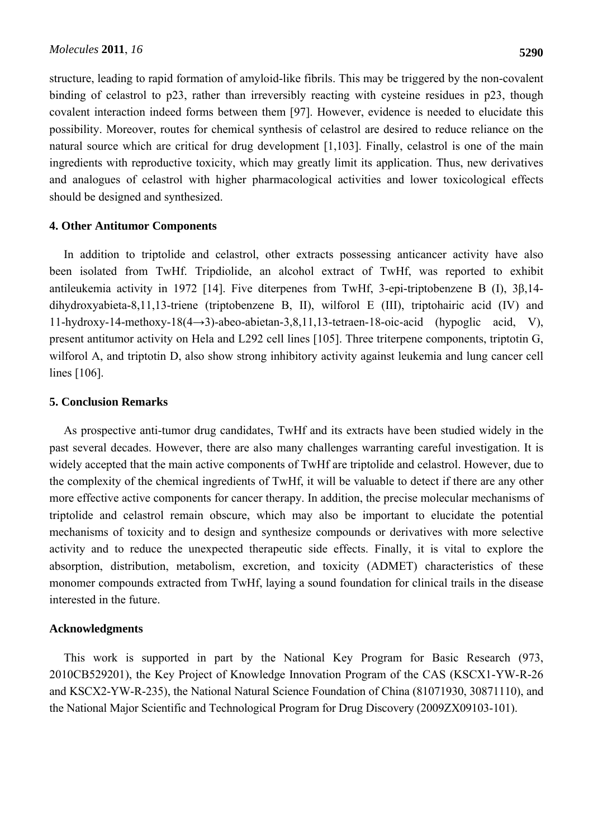structure, leading to rapid formation of amyloid-like fibrils. This may be triggered by the non-covalent binding of celastrol to p23, rather than irreversibly reacting with cysteine residues in p23, though covalent interaction indeed forms between them [97]. However, evidence is needed to elucidate this possibility. Moreover, routes for chemical synthesis of celastrol are desired to reduce reliance on the natural source which are critical for drug development [1,103]. Finally, celastrol is one of the main ingredients with reproductive toxicity, which may greatly limit its application. Thus, new derivatives and analogues of celastrol with higher pharmacological activities and lower toxicological effects should be designed and synthesized.

# **4. Other Antitumor Components**

In addition to triptolide and celastrol, other extracts possessing anticancer activity have also been isolated from TwHf. Tripdiolide, an alcohol extract of TwHf, was reported to exhibit antileukemia activity in 1972 [14]. Five diterpenes from TwHf, 3-epi-triptobenzene B (I), 3β,14 dihydroxyabieta-8,11,13-triene (triptobenzene B, II), wilforol E (III), triptohairic acid (IV) and 11-hydroxy-14-methoxy-18(4→3)-abeo-abietan-3,8,11,13-tetraen-18-oic-acid (hypoglic acid, V), present antitumor activity on Hela and L292 cell lines [105]. Three triterpene components, triptotin G, wilforol A, and triptotin D, also show strong inhibitory activity against leukemia and lung cancer cell lines [106].

# **5. Conclusion Remarks**

As prospective anti-tumor drug candidates, TwHf and its extracts have been studied widely in the past several decades. However, there are also many challenges warranting careful investigation. It is widely accepted that the main active components of TwHf are triptolide and celastrol. However, due to the complexity of the chemical ingredients of TwHf, it will be valuable to detect if there are any other more effective active components for cancer therapy. In addition, the precise molecular mechanisms of triptolide and celastrol remain obscure, which may also be important to elucidate the potential mechanisms of toxicity and to design and synthesize compounds or derivatives with more selective activity and to reduce the unexpected therapeutic side effects. Finally, it is vital to explore the absorption, distribution, metabolism, excretion, and toxicity (ADMET) characteristics of these monomer compounds extracted from TwHf, laying a sound foundation for clinical trails in the disease interested in the future.

#### **Acknowledgments**

This work is supported in part by the National Key Program for Basic Research (973, 2010CB529201), the Key Project of Knowledge Innovation Program of the CAS (KSCX1-YW-R-26 and KSCX2-YW-R-235), the National Natural Science Foundation of China (81071930, 30871110), and the National Major Scientific and Technological Program for Drug Discovery (2009ZX09103-101).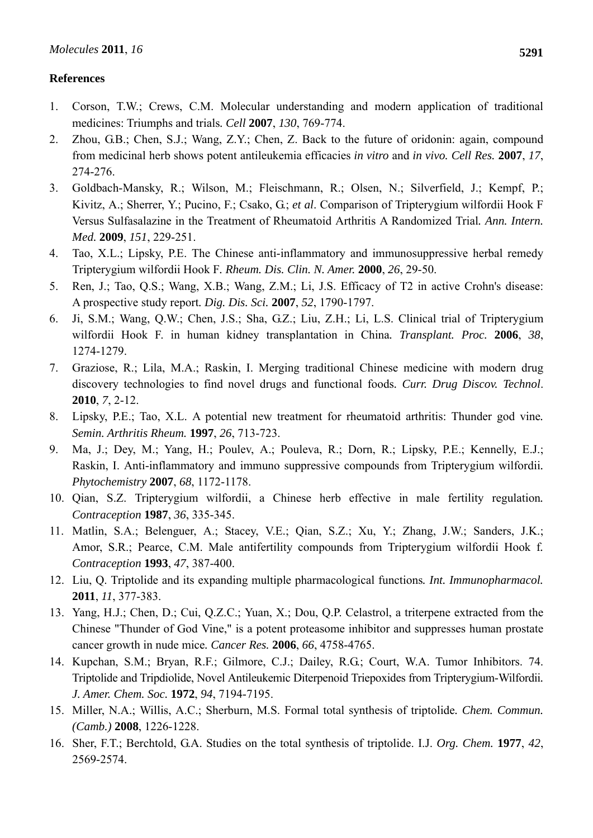# **References**

- 1. Corson, T.W.; Crews, C.M. Molecular understanding and modern application of traditional medicines: Triumphs and trials*. Cell* **2007**, *130*, 769-774.
- 2. Zhou, G.B.; Chen, S.J.; Wang, Z.Y.; Chen, Z. Back to the future of oridonin: again, compound from medicinal herb shows potent antileukemia efficacies *in vitro* and *in vivo. Cell Res.* **2007**, *17*, 274-276.
- 3. Goldbach-Mansky, R.; Wilson, M.; Fleischmann, R.; Olsen, N.; Silverfield, J.; Kempf, P.; Kivitz, A.; Sherrer, Y.; Pucino, F.; Csako, G.; *et al*. Comparison of Tripterygium wilfordii Hook F Versus Sulfasalazine in the Treatment of Rheumatoid Arthritis A Randomized Trial*. Ann. Intern. Med.* **2009**, *151*, 229-251.
- 4. Tao, X.L.; Lipsky, P.E. The Chinese anti-inflammatory and immunosuppressive herbal remedy Tripterygium wilfordii Hook F*. Rheum. Dis. Clin. N. Amer.* **2000**, *26*, 29-50.
- 5. Ren, J.; Tao, Q.S.; Wang, X.B.; Wang, Z.M.; Li, J.S. Efficacy of T2 in active Crohn's disease: A prospective study report*. Dig. Dis. Sci.* **2007**, *52*, 1790-1797.
- 6. Ji, S.M.; Wang, Q.W.; Chen, J.S.; Sha, G.Z.; Liu, Z.H.; Li, L.S. Clinical trial of Tripterygium wilfordii Hook F. in human kidney transplantation in China*. Transplant. Proc.* **2006**, *38*, 1274-1279.
- 7. Graziose, R.; Lila, M.A.; Raskin, I. Merging traditional Chinese medicine with modern drug discovery technologies to find novel drugs and functional foods*. Curr. Drug Discov. Technol*. **2010**, *7*, 2-12.
- 8. Lipsky, P.E.; Tao, X.L. A potential new treatment for rheumatoid arthritis: Thunder god vine*. Semin. Arthritis Rheum.* **1997**, *26*, 713-723.
- 9. Ma, J.; Dey, M.; Yang, H.; Poulev, A.; Pouleva, R.; Dorn, R.; Lipsky, P.E.; Kennelly, E.J.; Raskin, I. Anti-inflammatory and immuno suppressive compounds from Tripterygium wilfordii*. Phytochemistry* **2007**, *68*, 1172-1178.
- 10. Qian, S.Z. Tripterygium wilfordii, a Chinese herb effective in male fertility regulation*. Contraception* **1987**, *36*, 335-345.
- 11. Matlin, S.A.; Belenguer, A.; Stacey, V.E.; Qian, S.Z.; Xu, Y.; Zhang, J.W.; Sanders, J.K.; Amor, S.R.; Pearce, C.M. Male antifertility compounds from Tripterygium wilfordii Hook f*. Contraception* **1993**, *47*, 387-400.
- 12. Liu, Q. Triptolide and its expanding multiple pharmacological functions*. Int. Immunopharmacol.* **2011**, *11*, 377-383.
- 13. Yang, H.J.; Chen, D.; Cui, Q.Z.C.; Yuan, X.; Dou, Q.P. Celastrol, a triterpene extracted from the Chinese "Thunder of God Vine," is a potent proteasome inhibitor and suppresses human prostate cancer growth in nude mice*. Cancer Res.* **2006**, *66*, 4758-4765.
- 14. Kupchan, S.M.; Bryan, R.F.; Gilmore, C.J.; Dailey, R.G.; Court, W.A. Tumor Inhibitors. 74. Triptolide and Tripdiolide, Novel Antileukemic Diterpenoid Triepoxides from Tripterygium-Wilfordii*. J. Amer. Chem. Soc.* **1972**, *94*, 7194-7195.
- 15. Miller, N.A.; Willis, A.C.; Sherburn, M.S. Formal total synthesis of triptolide*. Chem. Commun. (Camb.)* **2008**, 1226-1228.
- 16. Sher, F.T.; Berchtold, G.A. Studies on the total synthesis of triptolide. I.J. *Org. Chem.* **1977**, *42*, 2569-2574.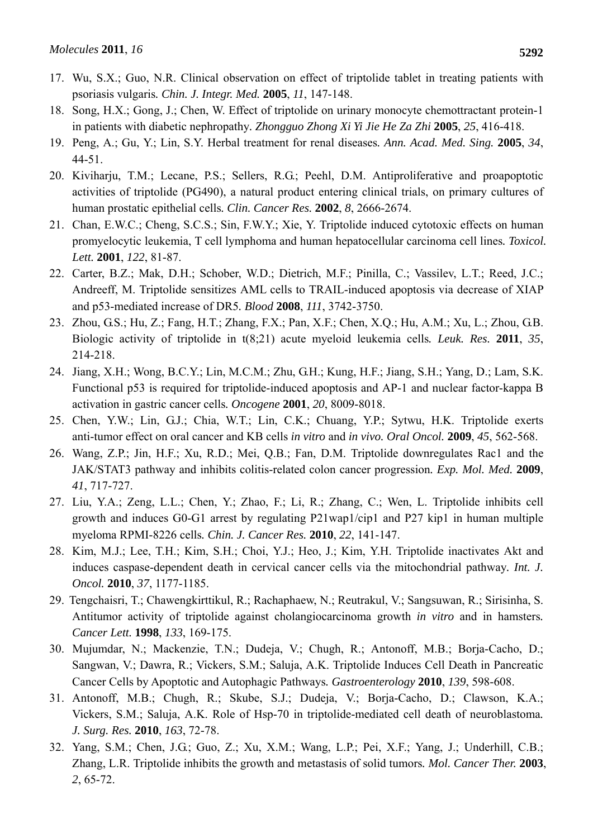- 17. Wu, S.X.; Guo, N.R. Clinical observation on effect of triptolide tablet in treating patients with psoriasis vulgaris*. Chin. J. Integr. Med.* **2005**, *11*, 147-148.
- 18. Song, H.X.; Gong, J.; Chen, W. Effect of triptolide on urinary monocyte chemottractant protein-1 in patients with diabetic nephropathy*. Zhongguo Zhong Xi Yi Jie He Za Zhi* **2005**, *25*, 416-418.
- 19. Peng, A.; Gu, Y.; Lin, S.Y. Herbal treatment for renal diseases*. Ann. Acad. Med. Sing.* **2005**, *34*, 44-51.
- 20. Kiviharju, T.M.; Lecane, P.S.; Sellers, R.G.; Peehl, D.M. Antiproliferative and proapoptotic activities of triptolide (PG490), a natural product entering clinical trials, on primary cultures of human prostatic epithelial cells*. Clin. Cancer Res.* **2002**, *8*, 2666-2674.
- 21. Chan, E.W.C.; Cheng, S.C.S.; Sin, F.W.Y.; Xie, Y. Triptolide induced cytotoxic effects on human promyelocytic leukemia, T cell lymphoma and human hepatocellular carcinoma cell lines*. Toxicol. Lett.* **2001**, *122*, 81-87.
- 22. Carter, B.Z.; Mak, D.H.; Schober, W.D.; Dietrich, M.F.; Pinilla, C.; Vassilev, L.T.; Reed, J.C.; Andreeff, M. Triptolide sensitizes AML cells to TRAIL-induced apoptosis via decrease of XIAP and p53-mediated increase of DR5*. Blood* **2008**, *111*, 3742-3750.
- 23. Zhou, G.S.; Hu, Z.; Fang, H.T.; Zhang, F.X.; Pan, X.F.; Chen, X.Q.; Hu, A.M.; Xu, L.; Zhou, G.B. Biologic activity of triptolide in t(8;21) acute myeloid leukemia cells*. Leuk. Res.* **2011**, *35*, 214-218.
- 24. Jiang, X.H.; Wong, B.C.Y.; Lin, M.C.M.; Zhu, G.H.; Kung, H.F.; Jiang, S.H.; Yang, D.; Lam, S.K. Functional p53 is required for triptolide-induced apoptosis and AP-1 and nuclear factor-kappa B activation in gastric cancer cells*. Oncogene* **2001**, *20*, 8009-8018.
- 25. Chen, Y.W.; Lin, G.J.; Chia, W.T.; Lin, C.K.; Chuang, Y.P.; Sytwu, H.K. Triptolide exerts anti-tumor effect on oral cancer and KB cells *in vitro* and *in vivo. Oral Oncol.* **2009**, *45*, 562-568.
- 26. Wang, Z.P.; Jin, H.F.; Xu, R.D.; Mei, Q.B.; Fan, D.M. Triptolide downregulates Rac1 and the JAK/STAT3 pathway and inhibits colitis-related colon cancer progression*. Exp. Mol. Med.* **2009**, *41*, 717-727.
- 27. Liu, Y.A.; Zeng, L.L.; Chen, Y.; Zhao, F.; Li, R.; Zhang, C.; Wen, L. Triptolide inhibits cell growth and induces G0-G1 arrest by regulating P21wap1/cip1 and P27 kip1 in human multiple myeloma RPMI-8226 cells*. Chin. J. Cancer Res.* **2010**, *22*, 141-147.
- 28. Kim, M.J.; Lee, T.H.; Kim, S.H.; Choi, Y.J.; Heo, J.; Kim, Y.H. Triptolide inactivates Akt and induces caspase-dependent death in cervical cancer cells via the mitochondrial pathway*. Int. J. Oncol.* **2010**, *37*, 1177-1185.
- 29. Tengchaisri, T.; Chawengkirttikul, R.; Rachaphaew, N.; Reutrakul, V.; Sangsuwan, R.; Sirisinha, S. Antitumor activity of triptolide against cholangiocarcinoma growth *in vitro* and in hamsters*. Cancer Lett.* **1998**, *133*, 169-175.
- 30. Mujumdar, N.; Mackenzie, T.N.; Dudeja, V.; Chugh, R.; Antonoff, M.B.; Borja-Cacho, D.; Sangwan, V.; Dawra, R.; Vickers, S.M.; Saluja, A.K. Triptolide Induces Cell Death in Pancreatic Cancer Cells by Apoptotic and Autophagic Pathways*. Gastroenterology* **2010**, *139*, 598-608.
- 31. Antonoff, M.B.; Chugh, R.; Skube, S.J.; Dudeja, V.; Borja-Cacho, D.; Clawson, K.A.; Vickers, S.M.; Saluja, A.K. Role of Hsp-70 in triptolide-mediated cell death of neuroblastoma*. J. Surg. Res.* **2010**, *163*, 72-78.
- 32. Yang, S.M.; Chen, J.G.; Guo, Z.; Xu, X.M.; Wang, L.P.; Pei, X.F.; Yang, J.; Underhill, C.B.; Zhang, L.R. Triptolide inhibits the growth and metastasis of solid tumors*. Mol. Cancer Ther.* **2003**, *2*, 65-72.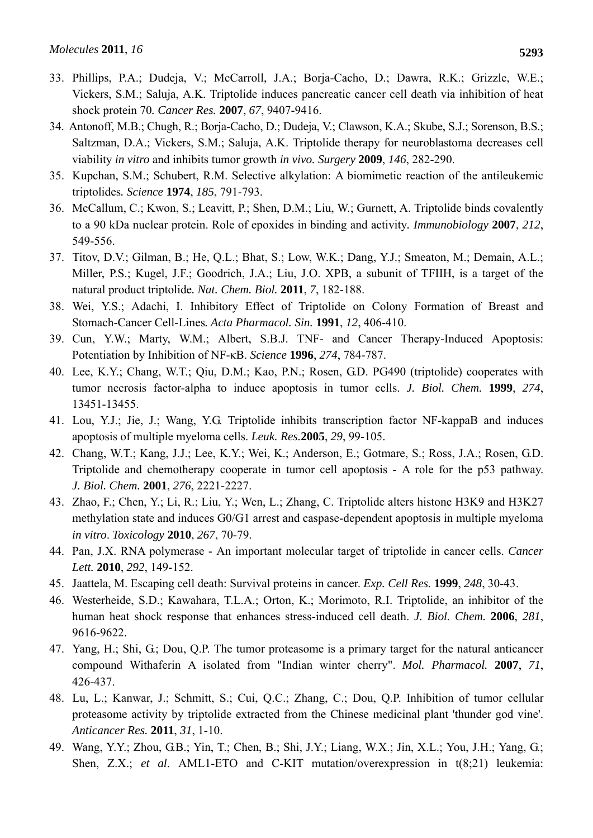- 33. Phillips, P.A.; Dudeja, V.; McCarroll, J.A.; Borja-Cacho, D.; Dawra, R.K.; Grizzle, W.E.; Vickers, S.M.; Saluja, A.K. Triptolide induces pancreatic cancer cell death via inhibition of heat shock protein 70*. Cancer Res.* **2007**, *67*, 9407-9416.
- 34. Antonoff, M.B.; Chugh, R.; Borja-Cacho, D.; Dudeja, V.; Clawson, K.A.; Skube, S.J.; Sorenson, B.S.; Saltzman, D.A.; Vickers, S.M.; Saluja, A.K. Triptolide therapy for neuroblastoma decreases cell viability *in vitro* and inhibits tumor growth *in vivo. Surgery* **2009**, *146*, 282-290.
- 35. Kupchan, S.M.; Schubert, R.M. Selective alkylation: A biomimetic reaction of the antileukemic triptolides*. Science* **1974**, *185*, 791-793.
- 36. McCallum, C.; Kwon, S.; Leavitt, P.; Shen, D.M.; Liu, W.; Gurnett, A. Triptolide binds covalently to a 90 kDa nuclear protein. Role of epoxides in binding and activity*. Immunobiology* **2007**, *212*, 549-556.
- 37. Titov, D.V.; Gilman, B.; He, Q.L.; Bhat, S.; Low, W.K.; Dang, Y.J.; Smeaton, M.; Demain, A.L.; Miller, P.S.; Kugel, J.F.; Goodrich, J.A.; Liu, J.O. XPB, a subunit of TFIIH, is a target of the natural product triptolide*. Nat. Chem. Biol.* **2011**, *7*, 182-188.
- 38. Wei, Y.S.; Adachi, I. Inhibitory Effect of Triptolide on Colony Formation of Breast and Stomach-Cancer Cell-Lines*. Acta Pharmacol. Sin.* **1991**, *12*, 406-410.
- 39. Cun, Y.W.; Marty, W.M.; Albert, S.B.J. TNF- and Cancer Therapy-Induced Apoptosis: Potentiation by Inhibition of NF-κB. *Science* **1996**, *274*, 784-787.
- 40. Lee, K.Y.; Chang, W.T.; Qiu, D.M.; Kao, P.N.; Rosen, G.D. PG490 (triptolide) cooperates with tumor necrosis factor-alpha to induce apoptosis in tumor cells. *J. Biol. Chem.* **1999**, *274*, 13451-13455.
- 41. Lou, Y.J.; Jie, J.; Wang, Y.G. Triptolide inhibits transcription factor NF-kappaB and induces apoptosis of multiple myeloma cells. *Leuk. Res.***2005**, *29*, 99-105.
- 42. Chang, W.T.; Kang, J.J.; Lee, K.Y.; Wei, K.; Anderson, E.; Gotmare, S.; Ross, J.A.; Rosen, G.D. Triptolide and chemotherapy cooperate in tumor cell apoptosis - A role for the p53 pathway. *J. Biol. Chem.* **2001**, *276*, 2221-2227.
- 43. Zhao, F.; Chen, Y.; Li, R.; Liu, Y.; Wen, L.; Zhang, C. Triptolide alters histone H3K9 and H3K27 methylation state and induces G0/G1 arrest and caspase-dependent apoptosis in multiple myeloma *in vitro*. *Toxicology* **2010**, *267*, 70-79.
- 44. Pan, J.X. RNA polymerase An important molecular target of triptolide in cancer cells. *Cancer Lett.* **2010**, *292*, 149-152.
- 45. Jaattela, M. Escaping cell death: Survival proteins in cancer. *Exp. Cell Res.* **1999**, *248*, 30-43.
- 46. Westerheide, S.D.; Kawahara, T.L.A.; Orton, K.; Morimoto, R.I. Triptolide, an inhibitor of the human heat shock response that enhances stress-induced cell death. *J. Biol. Chem.* **2006**, *281*, 9616-9622.
- 47. Yang, H.; Shi, G.; Dou, Q.P. The tumor proteasome is a primary target for the natural anticancer compound Withaferin A isolated from "Indian winter cherry". *Mol. Pharmacol.* **2007**, *71*, 426-437.
- 48. Lu, L.; Kanwar, J.; Schmitt, S.; Cui, Q.C.; Zhang, C.; Dou, Q.P. Inhibition of tumor cellular proteasome activity by triptolide extracted from the Chinese medicinal plant 'thunder god vine'. *Anticancer Res.* **2011**, *31*, 1-10.
- 49. Wang, Y.Y.; Zhou, G.B.; Yin, T.; Chen, B.; Shi, J.Y.; Liang, W.X.; Jin, X.L.; You, J.H.; Yang, G.; Shen, Z.X.; *et al.* AML1-ETO and C-KIT mutation/overexpression in t(8;21) leukemia: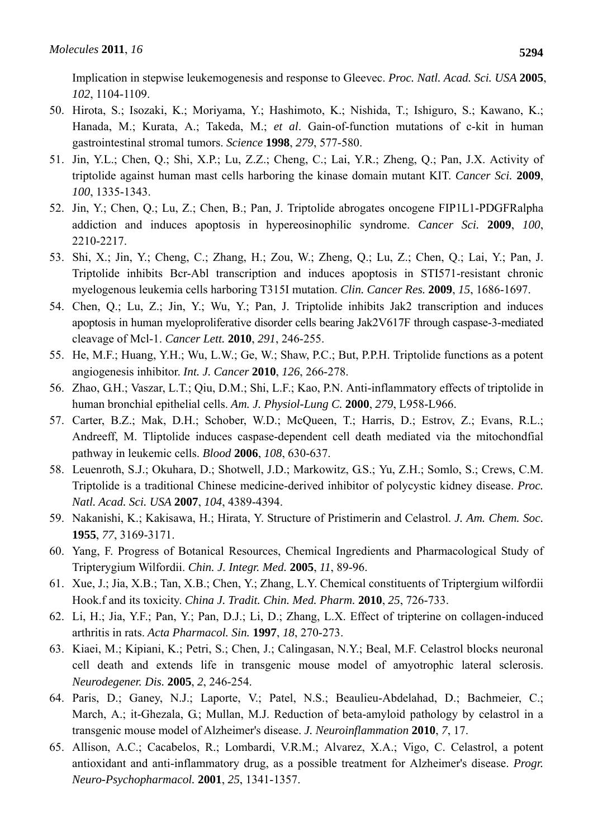Implication in stepwise leukemogenesis and response to Gleevec. *Proc. Natl. Acad. Sci. USA* **2005**, *102*, 1104-1109.

- 50. Hirota, S.; Isozaki, K.; Moriyama, Y.; Hashimoto, K.; Nishida, T.; Ishiguro, S.; Kawano, K.; Hanada, M.; Kurata, A.; Takeda, M.; *et al*. Gain-of-function mutations of c-kit in human gastrointestinal stromal tumors. *Science* **1998**, *279*, 577-580.
- 51. Jin, Y.L.; Chen, Q.; Shi, X.P.; Lu, Z.Z.; Cheng, C.; Lai, Y.R.; Zheng, Q.; Pan, J.X. Activity of triptolide against human mast cells harboring the kinase domain mutant KIT. *Cancer Sci.* **2009**, *100*, 1335-1343.
- 52. Jin, Y.; Chen, Q.; Lu, Z.; Chen, B.; Pan, J. Triptolide abrogates oncogene FIP1L1-PDGFRalpha addiction and induces apoptosis in hypereosinophilic syndrome. *Cancer Sci.* **2009**, *100*, 2210-2217.
- 53. Shi, X.; Jin, Y.; Cheng, C.; Zhang, H.; Zou, W.; Zheng, Q.; Lu, Z.; Chen, Q.; Lai, Y.; Pan, J. Triptolide inhibits Bcr-Abl transcription and induces apoptosis in STI571-resistant chronic myelogenous leukemia cells harboring T315I mutation. *Clin. Cancer Res.* **2009**, *15*, 1686-1697.
- 54. Chen, Q.; Lu, Z.; Jin, Y.; Wu, Y.; Pan, J. Triptolide inhibits Jak2 transcription and induces apoptosis in human myeloproliferative disorder cells bearing Jak2V617F through caspase-3-mediated cleavage of Mcl-1. *Cancer Lett.* **2010**, *291*, 246-255.
- 55. He, M.F.; Huang, Y.H.; Wu, L.W.; Ge, W.; Shaw, P.C.; But, P.P.H. Triptolide functions as a potent angiogenesis inhibitor. *Int. J. Cancer* **2010**, *126*, 266-278.
- 56. Zhao, G.H.; Vaszar, L.T.; Qiu, D.M.; Shi, L.F.; Kao, P.N. Anti-inflammatory effects of triptolide in human bronchial epithelial cells. *Am. J. Physiol-Lung C.* **2000**, *279*, L958-L966.
- 57. Carter, B.Z.; Mak, D.H.; Schober, W.D.; McQueen, T.; Harris, D.; Estrov, Z.; Evans, R.L.; Andreeff, M. Tliptolide induces caspase-dependent cell death mediated via the mitochondfial pathway in leukemic cells. *Blood* **2006**, *108*, 630-637.
- 58. Leuenroth, S.J.; Okuhara, D.; Shotwell, J.D.; Markowitz, G.S.; Yu, Z.H.; Somlo, S.; Crews, C.M. Triptolide is a traditional Chinese medicine-derived inhibitor of polycystic kidney disease. *Proc. Natl. Acad. Sci. USA* **2007**, *104*, 4389-4394.
- 59. Nakanishi, K.; Kakisawa, H.; Hirata, Y. Structure of Pristimerin and Celastrol. *J. Am. Chem. Soc.*  **1955**, *77*, 3169-3171.
- 60. Yang, F. Progress of Botanical Resources, Chemical Ingredients and Pharmacological Study of Tripterygium Wilfordii. *Chin. J. Integr. Med.* **2005**, *11*, 89-96.
- 61. Xue, J.; Jia, X.B.; Tan, X.B.; Chen, Y.; Zhang, L.Y. Chemical constituents of Triptergium wilfordii Hook.f and its toxicity. *China J. Tradit. Chin. Med. Pharm.* **2010**, *25*, 726-733.
- 62. Li, H.; Jia, Y.F.; Pan, Y.; Pan, D.J.; Li, D.; Zhang, L.X. Effect of tripterine on collagen-induced arthritis in rats. *Acta Pharmacol. Sin.* **1997**, *18*, 270-273.
- 63. Kiaei, M.; Kipiani, K.; Petri, S.; Chen, J.; Calingasan, N.Y.; Beal, M.F. Celastrol blocks neuronal cell death and extends life in transgenic mouse model of amyotrophic lateral sclerosis. *Neurodegener. Dis.* **2005**, *2*, 246-254.
- 64. Paris, D.; Ganey, N.J.; Laporte, V.; Patel, N.S.; Beaulieu-Abdelahad, D.; Bachmeier, C.; March, A.; it-Ghezala, G.; Mullan, M.J. Reduction of beta-amyloid pathology by celastrol in a transgenic mouse model of Alzheimer's disease. *J. Neuroinflammation* **2010**, *7*, 17.
- 65. Allison, A.C.; Cacabelos, R.; Lombardi, V.R.M.; Alvarez, X.A.; Vigo, C. Celastrol, a potent antioxidant and anti-inflammatory drug, as a possible treatment for Alzheimer's disease. *Progr. Neuro-Psychopharmacol.* **2001**, *25*, 1341-1357.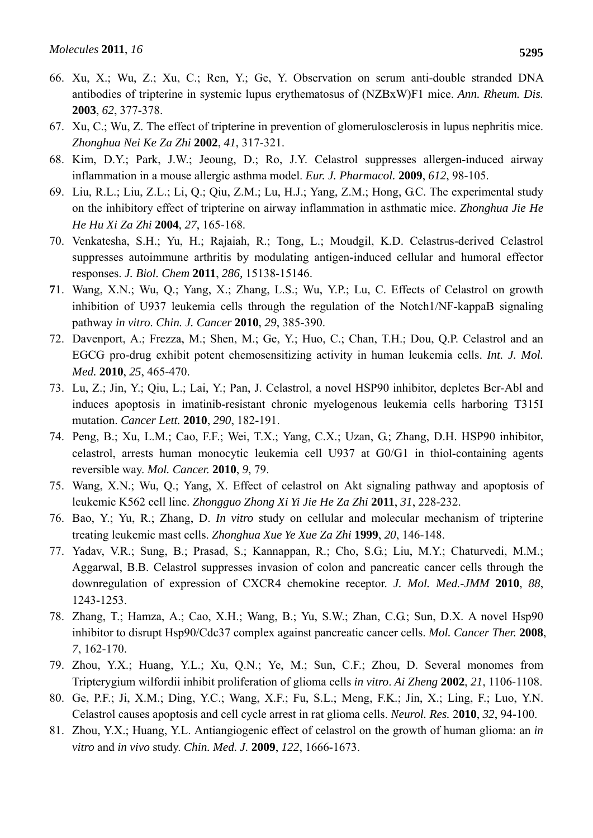- 66. Xu, X.; Wu, Z.; Xu, C.; Ren, Y.; Ge, Y. Observation on serum anti-double stranded DNA antibodies of tripterine in systemic lupus erythematosus of (NZBxW)F1 mice. *Ann. Rheum. Dis.*  **2003**, *62*, 377-378.
- 67. Xu, C.; Wu, Z. The effect of tripterine in prevention of glomerulosclerosis in lupus nephritis mice. *Zhonghua Nei Ke Za Zhi* **2002**, *41*, 317-321.
- 68. Kim, D.Y.; Park, J.W.; Jeoung, D.; Ro, J.Y. Celastrol suppresses allergen-induced airway inflammation in a mouse allergic asthma model. *Eur. J. Pharmacol.* **2009**, *612*, 98-105.
- 69. Liu, R.L.; Liu, Z.L.; Li, Q.; Qiu, Z.M.; Lu, H.J.; Yang, Z.M.; Hong, G.C. The experimental study on the inhibitory effect of tripterine on airway inflammation in asthmatic mice. *Zhonghua Jie He He Hu Xi Za Zhi* **2004**, *27*, 165-168.
- 70. Venkatesha, S.H.; Yu, H.; Rajaiah, R.; Tong, L.; Moudgil, K.D. Celastrus-derived Celastrol suppresses autoimmune arthritis by modulating antigen-induced cellular and humoral effector responses. *J. Biol. Chem* **2011**, *286,* 15138-15146.
- **7**1. Wang, X.N.; Wu, Q.; Yang, X.; Zhang, L.S.; Wu, Y.P.; Lu, C. Effects of Celastrol on growth inhibition of U937 leukemia cells through the regulation of the Notch1/NF-kappaB signaling pathway *in vitro*. *Chin. J. Cancer* **2010**, *29*, 385-390.
- 72. Davenport, A.; Frezza, M.; Shen, M.; Ge, Y.; Huo, C.; Chan, T.H.; Dou, Q.P. Celastrol and an EGCG pro-drug exhibit potent chemosensitizing activity in human leukemia cells. *Int. J. Mol. Med.* **2010**, *25*, 465-470.
- 73. Lu, Z.; Jin, Y.; Qiu, L.; Lai, Y.; Pan, J. Celastrol, a novel HSP90 inhibitor, depletes Bcr-Abl and induces apoptosis in imatinib-resistant chronic myelogenous leukemia cells harboring T315I mutation. *Cancer Lett.* **2010**, *290*, 182-191.
- 74. Peng, B.; Xu, L.M.; Cao, F.F.; Wei, T.X.; Yang, C.X.; Uzan, G.; Zhang, D.H. HSP90 inhibitor, celastrol, arrests human monocytic leukemia cell U937 at G0/G1 in thiol-containing agents reversible way. *Mol. Cancer.* **2010**, *9*, 79.
- 75. Wang, X.N.; Wu, Q.; Yang, X. Effect of celastrol on Akt signaling pathway and apoptosis of leukemic K562 cell line. *Zhongguo Zhong Xi Yi Jie He Za Zhi* **2011**, *31*, 228-232.
- 76. Bao, Y.; Yu, R.; Zhang, D. *In vitro* study on cellular and molecular mechanism of tripterine treating leukemic mast cells. *Zhonghua Xue Ye Xue Za Zhi* **1999**, *20*, 146-148.
- 77. Yadav, V.R.; Sung, B.; Prasad, S.; Kannappan, R.; Cho, S.G.; Liu, M.Y.; Chaturvedi, M.M.; Aggarwal, B.B. Celastrol suppresses invasion of colon and pancreatic cancer cells through the downregulation of expression of CXCR4 chemokine receptor. *J. Mol. Med.-JMM* **2010**, *88*, 1243-1253.
- 78. Zhang, T.; Hamza, A.; Cao, X.H.; Wang, B.; Yu, S.W.; Zhan, C.G.; Sun, D.X. A novel Hsp90 inhibitor to disrupt Hsp90/Cdc37 complex against pancreatic cancer cells. *Mol. Cancer Ther.* **2008**, *7*, 162-170.
- 79. Zhou, Y.X.; Huang, Y.L.; Xu, Q.N.; Ye, M.; Sun, C.F.; Zhou, D. Several monomes from Tripterygium wilfordii inhibit proliferation of glioma cells *in vitro*. *Ai Zheng* **2002**, *21*, 1106-1108.
- 80. Ge, P.F.; Ji, X.M.; Ding, Y.C.; Wang, X.F.; Fu, S.L.; Meng, F.K.; Jin, X.; Ling, F.; Luo, Y.N. Celastrol causes apoptosis and cell cycle arrest in rat glioma cells. *Neurol. Res.* 2**010**, *32*, 94-100.
- 81. Zhou, Y.X.; Huang, Y.L. Antiangiogenic effect of celastrol on the growth of human glioma: an *in vitro* and *in vivo* study. *Chin. Med. J.* **2009**, *122*, 1666-1673.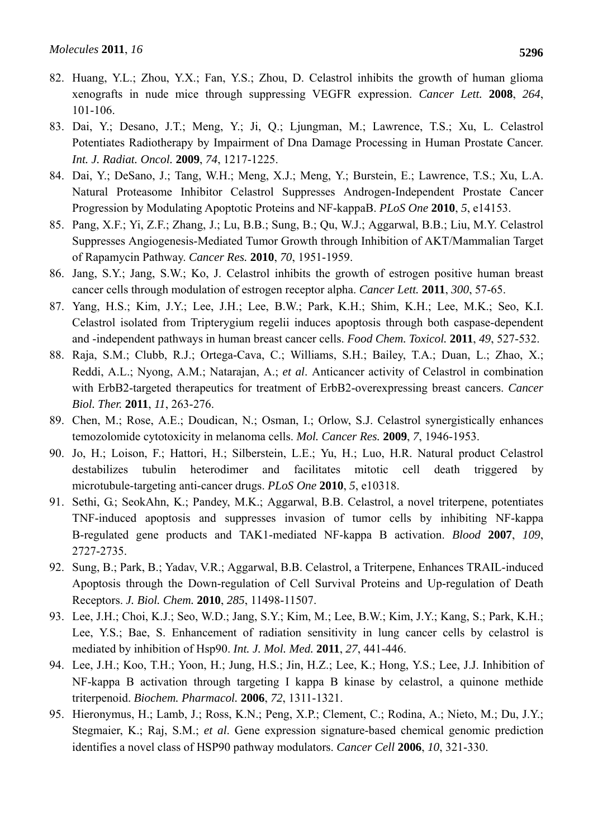- 82. Huang, Y.L.; Zhou, Y.X.; Fan, Y.S.; Zhou, D. Celastrol inhibits the growth of human glioma xenografts in nude mice through suppressing VEGFR expression. *Cancer Lett.* **2008**, *264*, 101-106.
- 83. Dai, Y.; Desano, J.T.; Meng, Y.; Ji, Q.; Ljungman, M.; Lawrence, T.S.; Xu, L. Celastrol Potentiates Radiotherapy by Impairment of Dna Damage Processing in Human Prostate Cancer. *Int. J. Radiat. Oncol.* **2009**, *74*, 1217-1225.
- 84. Dai, Y.; DeSano, J.; Tang, W.H.; Meng, X.J.; Meng, Y.; Burstein, E.; Lawrence, T.S.; Xu, L.A. Natural Proteasome Inhibitor Celastrol Suppresses Androgen-Independent Prostate Cancer Progression by Modulating Apoptotic Proteins and NF-kappaB. *PLoS One* **2010**, *5*, e14153.
- 85. Pang, X.F.; Yi, Z.F.; Zhang, J.; Lu, B.B.; Sung, B.; Qu, W.J.; Aggarwal, B.B.; Liu, M.Y. Celastrol Suppresses Angiogenesis-Mediated Tumor Growth through Inhibition of AKT/Mammalian Target of Rapamycin Pathway. *Cancer Res.* **2010**, *70*, 1951-1959.
- 86. Jang, S.Y.; Jang, S.W.; Ko, J. Celastrol inhibits the growth of estrogen positive human breast cancer cells through modulation of estrogen receptor alpha. *Cancer Lett.* **2011**, *300*, 57-65.
- 87. Yang, H.S.; Kim, J.Y.; Lee, J.H.; Lee, B.W.; Park, K.H.; Shim, K.H.; Lee, M.K.; Seo, K.I. Celastrol isolated from Tripterygium regelii induces apoptosis through both caspase-dependent and -independent pathways in human breast cancer cells. *Food Chem. Toxicol.* **2011**, *49*, 527-532.
- 88. Raja, S.M.; Clubb, R.J.; Ortega-Cava, C.; Williams, S.H.; Bailey, T.A.; Duan, L.; Zhao, X.; Reddi, A.L.; Nyong, A.M.; Natarajan, A.; *et al*. Anticancer activity of Celastrol in combination with ErbB2-targeted therapeutics for treatment of ErbB2-overexpressing breast cancers. *Cancer Biol. Ther.* **2011**, *11*, 263-276.
- 89. Chen, M.; Rose, A.E.; Doudican, N.; Osman, I.; Orlow, S.J. Celastrol synergistically enhances temozolomide cytotoxicity in melanoma cells. *Mol. Cancer Res.* **2009**, *7*, 1946-1953.
- 90. Jo, H.; Loison, F.; Hattori, H.; Silberstein, L.E.; Yu, H.; Luo, H.R. Natural product Celastrol destabilizes tubulin heterodimer and facilitates mitotic cell death triggered by microtubule-targeting anti-cancer drugs. *PLoS One* **2010**, *5*, e10318.
- 91. Sethi, G.; SeokAhn, K.; Pandey, M.K.; Aggarwal, B.B. Celastrol, a novel triterpene, potentiates TNF-induced apoptosis and suppresses invasion of tumor cells by inhibiting NF-kappa B-regulated gene products and TAK1-mediated NF-kappa B activation. *Blood* **2007**, *109*, 2727-2735.
- 92. Sung, B.; Park, B.; Yadav, V.R.; Aggarwal, B.B. Celastrol, a Triterpene, Enhances TRAIL-induced Apoptosis through the Down-regulation of Cell Survival Proteins and Up-regulation of Death Receptors. *J. Biol. Chem.* **2010**, *285*, 11498-11507.
- 93. Lee, J.H.; Choi, K.J.; Seo, W.D.; Jang, S.Y.; Kim, M.; Lee, B.W.; Kim, J.Y.; Kang, S.; Park, K.H.; Lee, Y.S.; Bae, S. Enhancement of radiation sensitivity in lung cancer cells by celastrol is mediated by inhibition of Hsp90. *Int. J. Mol. Med.* **2011**, *27*, 441-446.
- 94. Lee, J.H.; Koo, T.H.; Yoon, H.; Jung, H.S.; Jin, H.Z.; Lee, K.; Hong, Y.S.; Lee, J.J. Inhibition of NF-kappa B activation through targeting I kappa B kinase by celastrol, a quinone methide triterpenoid. *Biochem. Pharmacol.* **2006**, *72*, 1311-1321.
- 95. Hieronymus, H.; Lamb, J.; Ross, K.N.; Peng, X.P.; Clement, C.; Rodina, A.; Nieto, M.; Du, J.Y.; Stegmaier, K.; Raj, S.M.; *et al*. Gene expression signature-based chemical genomic prediction identifies a novel class of HSP90 pathway modulators. *Cancer Cell* **2006**, *10*, 321-330.